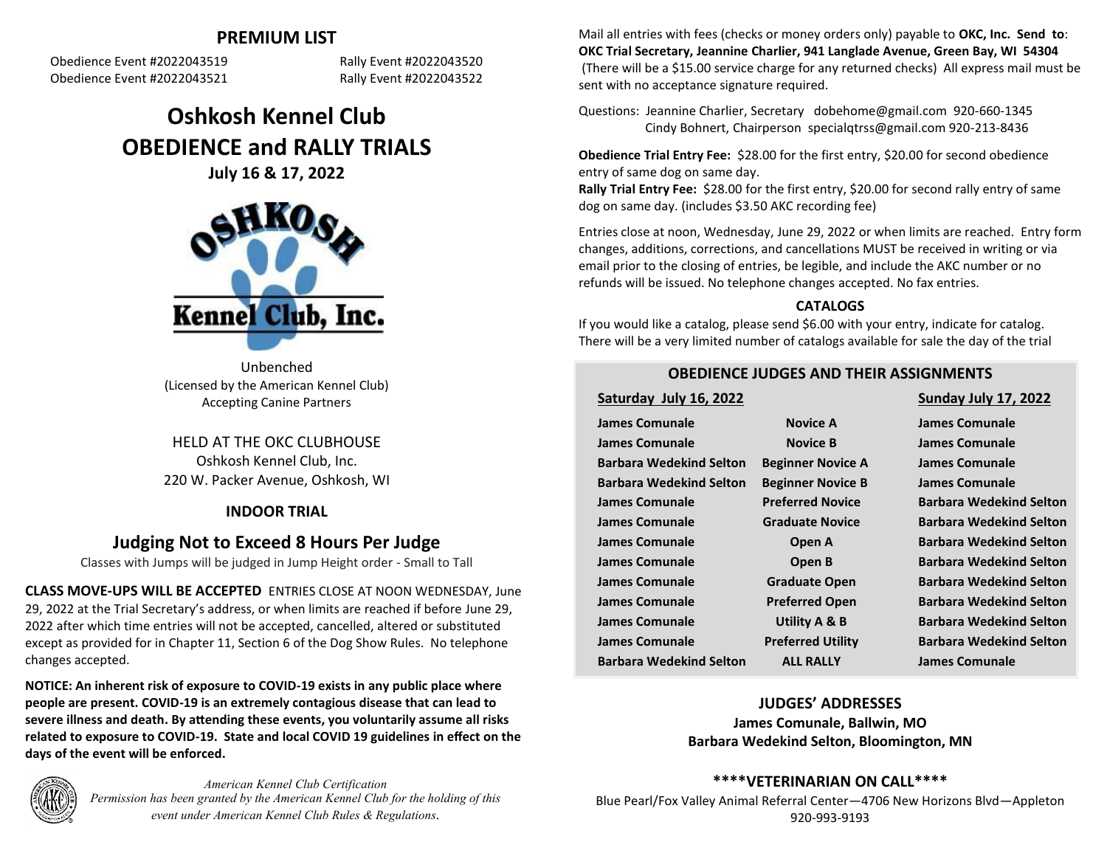# **PREMIUM LIST**

Obedience Event #2022043519 Rally Event #2022043520 Obedience Event #2022043521 Rally Event #2022043522

# **Oshkosh Kennel Club OBEDIENCE and RALLY TRIALS July 16 & 17, 2022**



Unbenched (Licensed by the American Kennel Club) Accepting Canine Partners

HELD AT THE OKC CLUBHOUSE Oshkosh Kennel Club, Inc. 220 W. Packer Avenue, Oshkosh, WI

# **INDOOR TRIAL**

# **Judging Not to Exceed 8 Hours Per Judge**

Classes with Jumps will be judged in Jump Height order - Small to Tall

**CLASS MOVE-UPS WILL BE ACCEPTED** ENTRIES CLOSE AT NOON WEDNESDAY, June 29, 2022 at the Trial Secretary's address, or when limits are reached if before June 29, 2022 after which time entries will not be accepted, cancelled, altered or substituted except as provided for in Chapter 11, Section 6 of the Dog Show Rules. No telephone changes accepted.

**NOTICE: An inherent risk of exposure to COVID-19 exists in any public place where people are present. COVID-19 is an extremely contagious disease that can lead to severe illness and death. By attending these events, you voluntarily assume all risks related to exposure to COVID-19. State and local COVID 19 guidelines in effect on the days of the event will be enforced.**



*American Kennel Club Certification Permission has been granted by the American Kennel Club for the holding of this event under American Kennel Club Rules & Regulations.*

Mail all entries with fees (checks or money orders only) payable to **OKC, Inc. Send to**: **OKC Trial Secretary, Jeannine Charlier, 941 Langlade Avenue, Green Bay, WI 54304** (There will be a \$15.00 service charge for any returned checks) All express mail must be sent with no acceptance signature required.

Questions: Jeannine Charlier, Secretary dobehome@gmail.com 920-660-1345 Cindy Bohnert, Chairperson specialqtrss@gmail.com 920-213-8436

**Obedience Trial Entry Fee:** \$28.00 for the first entry, \$20.00 for second obedience entry of same dog on same day.

**Rally Trial Entry Fee:** \$28.00 for the first entry, \$20.00 for second rally entry of same dog on same day. (includes \$3.50 AKC recording fee)

Entries close at noon, Wednesday, June 29, 2022 or when limits are reached. Entry form changes, additions, corrections, and cancellations MUST be received in writing or via email prior to the closing of entries, be legible, and include the AKC number or no refunds will be issued. No telephone changes accepted. No fax entries.

# **CATALOGS**

If you would like a catalog, please send \$6.00 with your entry, indicate for catalog. There will be a very limited number of catalogs available for sale the day of the trial

# **OBEDIENCE JUDGES AND THEIR ASSIGNMENTS**

**Saturday July 16, 2022 Sunday July 17, 2022**

| James Comunale                 | <b>Novice A</b>          | James Comunale                 |
|--------------------------------|--------------------------|--------------------------------|
| James Comunale                 | <b>Novice B</b>          | James Comunale                 |
| <b>Barbara Wedekind Selton</b> | <b>Beginner Novice A</b> | James Comunale                 |
| <b>Barbara Wedekind Selton</b> | <b>Beginner Novice B</b> | James Comunale                 |
| James Comunale                 | <b>Preferred Novice</b>  | <b>Barbara Wedekind Selton</b> |
| James Comunale                 | <b>Graduate Novice</b>   | <b>Barbara Wedekind Selton</b> |
| James Comunale                 | Open A                   | <b>Barbara Wedekind Selton</b> |
| James Comunale                 | Open B                   | <b>Barbara Wedekind Selton</b> |
| James Comunale                 | <b>Graduate Open</b>     | <b>Barbara Wedekind Selton</b> |
| James Comunale                 | <b>Preferred Open</b>    | <b>Barbara Wedekind Selton</b> |
| James Comunale                 | Utility A & B            | <b>Barbara Wedekind Selton</b> |
| <b>James Comunale</b>          | <b>Preferred Utility</b> | <b>Barbara Wedekind Selton</b> |
| <b>Barbara Wedekind Selton</b> | <b>ALL RALLY</b>         | James Comunale                 |

# **JUDGES' ADDRESSES James Comunale, Ballwin, MO Barbara Wedekind Selton, Bloomington, MN**

**\*\*\*\*VETERINARIAN ON CALL\*\*\*\***

Blue Pearl/Fox Valley Animal Referral Center—4706 New Horizons Blvd—Appleton 920-993-9193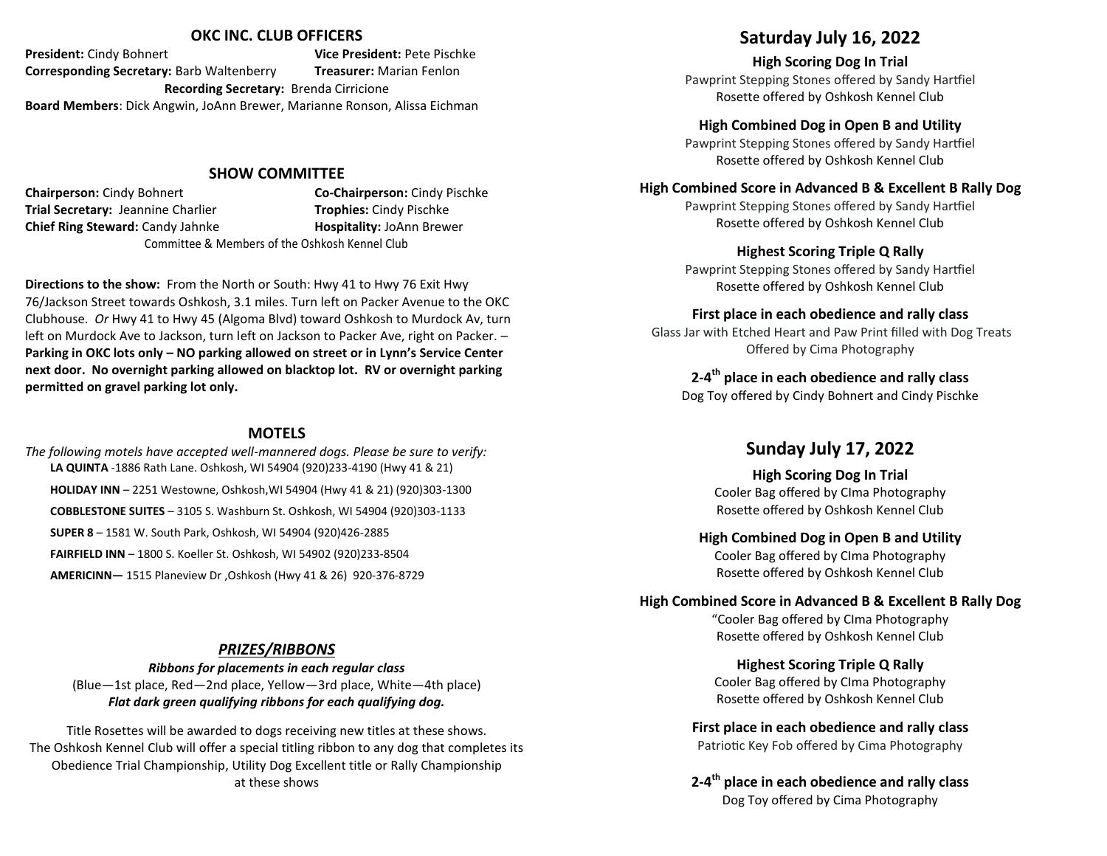### **OKC INC. CLUB OFFICERS**

**President:** Cindy Bohnert **Vice President:** Pete Pischke **Corresponding Secretary:** Barb Waltenberry **Treasurer:** Marian Fenlon **Recording Secretary:** Brenda Cirricione **Board Members**: Dick Angwin, JoAnn Brewer, Marianne Ronson, Alissa Eichman

### **SHOW COMMITTEE**

**Chairperson:** Cindy Bohnert **Co-Chairperson:** Cindy Pischke **Trial Secretary:** Jeannine Charlier **Trophies:** Cindy Pischke **Chief Ring Steward: Candy Jahnke <b>Hospitality: JoAnn Brewer** Committee & Members of the Oshkosh Kennel Club

**Directions to the show:** From the North or South: Hwy 41 to Hwy 76 Exit Hwy 76/Jackson Street towards Oshkosh, 3.1 miles. Turn left on Packer Avenue to the OKC Clubhouse. *Or* Hwy 41 to Hwy 45 (Algoma Blvd) toward Oshkosh to Murdock Av, turn left on Murdock Ave to Jackson, turn left on Jackson to Packer Ave, right on Packer. -**Parking in OKC lots only – NO parking allowed on street or in Lynn's Service Center next door. No overnight parking allowed on blacktop lot. RV or overnight parking permitted on gravel parking lot only.**

# **MOTELS**

*The following motels have accepted well-mannered dogs. Please be sure to verify:* **LA QUINTA** -1886 Rath Lane. Oshkosh, WI 54904 (920)233-4190 (Hwy 41 & 21) **HOLIDAY INN** – 2251 Westowne, Oshkosh,WI 54904 (Hwy 41 & 21) (920)303-1300 **COBBLESTONE SUITES** – 3105 S. Washburn St. Oshkosh, WI 54904 (920)303-1133 **SUPER 8** – 1581 W. South Park, Oshkosh, WI 54904 (920)426-2885 **FAIRFIELD INN** – 1800 S. Koeller St. Oshkosh, WI 54902 (920)233-8504 **AMERICINN—** 1515 Planeview Dr ,Oshkosh (Hwy 41 & 26) 920-376-8729

## *PRIZES/RIBBONS*

*Ribbons for placements in each regular class* (Blue—1st place, Red—2nd place, Yellow—3rd place, White—4th place) *Flat dark green qualifying ribbons for each qualifying dog.*

Title Rosettes will be awarded to dogs receiving new titles at these shows. The Oshkosh Kennel Club will offer a special titling ribbon to any dog that completes its Obedience Trial Championship, Utility Dog Excellent title or Rally Championship at these shows

# **Saturday July 16, 2022**

**High Scoring Dog In Trial** Pawprint Stepping Stones offered by Sandy Hartfiel Rosette offered by Oshkosh Kennel Club

**High Combined Dog in Open B and Utility**

Pawprint Stepping Stones offered by Sandy Hartfiel Rosette offered by Oshkosh Kennel Club

### **High Combined Score in Advanced B & Excellent B Rally Dog**

Pawprint Stepping Stones offered by Sandy Hartfiel Rosette offered by Oshkosh Kennel Club

## **Highest Scoring Triple Q Rally**

Pawprint Stepping Stones offered by Sandy Hartfiel Rosette offered by Oshkosh Kennel Club

## **First place in each obedience and rally class**

Glass Jar with Etched Heart and Paw Print filled with Dog Treats Offered by Cima Photography

# **2-4th place in each obedience and rally class**

Dog Toy offered by Cindy Bohnert and Cindy Pischke

# **Sunday July 17, 2022**

**High Scoring Dog In Trial** Cooler Bag offered by CIma Photography Rosette offered by Oshkosh Kennel Club

### **High Combined Dog in Open B and Utility**

Cooler Bag offered by CIma Photography Rosette offered by Oshkosh Kennel Club

### **High Combined Score in Advanced B & Excellent B Rally Dog**

"Cooler Bag offered by CIma Photography Rosette offered by Oshkosh Kennel Club

# **Highest Scoring Triple Q Rally**

Cooler Bag offered by CIma Photography Rosette offered by Oshkosh Kennel Club

# **First place in each obedience and rally class**

Patriotic Key Fob offered by Cima Photography

**2-4th place in each obedience and rally class**  Dog Toy offered by Cima Photography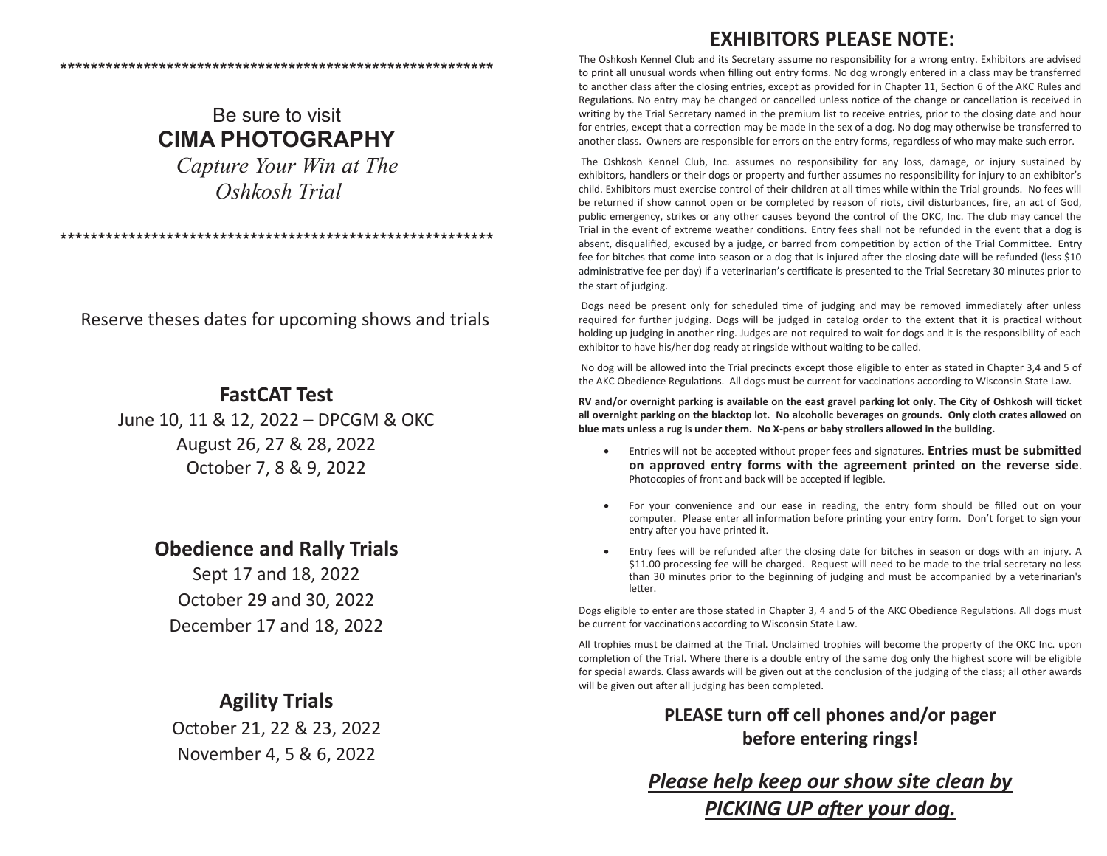# **EXHIBITORS PLEASE NOTE:**

Be sure to visit **CIMA PHOTOGRAPHY**  *Capture Your Win at The*

\*\*\*\*\*\*\*\*\*\*\*\*\*\*\*\*\*\*\*\*\*\*\*\*\*\*\*\*\*\*\*\*\*\*\*\*\*\*\*\*\*\*\*\*\*\*\*\*\*\*\*\*\*\*\*\*\*

 *Oshkosh Trial*

\*\*\*\*\*\*\*\*\*\*\*\*\*\*\*\*\*\*\*\*\*\*\*\*\*\*\*\*\*\*\*\*\*\*\*\*\*\*\*\*\*\*\*\*\*\*\*\*\*\*\*\*\*\*\*\*\*

Reserve theses dates for upcoming shows and trials

# **FastCAT Test**

June 10, 11 & 12, 2022 – DPCGM & OKC August 26, 27 & 28, 2022 October 7, 8 & 9, 2022

# **Obedience and Rally Trials**

Sept 17 and 18, 2022 October 29 and 30, 2022 December 17 and 18, 2022

# **Agility Trials**

October 21, 22 & 23, 2022 November 4, 5 & 6, 2022

The Oshkosh Kennel Club and its Secretary assume no responsibility for a wrong entry. Exhibitors are advised to print all unusual words when filling out entry forms. No dog wrongly entered in a class may be transferred to another class after the closing entries, except as provided for in Chapter 11, Section 6 of the AKC Rules and Regulations. No entry may be changed or cancelled unless notice of the change or cancellation is received in writing by the Trial Secretary named in the premium list to receive entries, prior to the closing date and hour for entries, except that a correction may be made in the sex of a dog. No dog may otherwise be transferred to another class. Owners are responsible for errors on the entry forms, regardless of who may make such error.

The Oshkosh Kennel Club, Inc. assumes no responsibility for any loss, damage, or injury sustained by exhibitors, handlers or their dogs or property and further assumes no responsibility for injury to an exhibitor's child. Exhibitors must exercise control of their children at all times while within the Trial grounds. No fees will be returned if show cannot open or be completed by reason of riots, civil disturbances, fire, an act of God, public emergency, strikes or any other causes beyond the control of the OKC, Inc. The club may cancel the Trial in the event of extreme weather conditions. Entry fees shall not be refunded in the event that a dog is absent, disqualified, excused by a judge, or barred from competition by action of the Trial Committee. Entry fee for bitches that come into season or a dog that is injured after the closing date will be refunded (less \$10 administrative fee per day) if a veterinarian's certificate is presented to the Trial Secretary 30 minutes prior to the start of judging.

Dogs need be present only for scheduled time of judging and may be removed immediately after unless required for further judging. Dogs will be judged in catalog order to the extent that it is practical without holding up judging in another ring. Judges are not required to wait for dogs and it is the responsibility of each exhibitor to have his/her dog ready at ringside without waiting to be called.

No dog will be allowed into the Trial precincts except those eligible to enter as stated in Chapter 3,4 and 5 of the AKC Obedience Regulations. All dogs must be current for vaccinations according to Wisconsin State Law.

**RV and/or overnight parking is available on the east gravel parking lot only. The City of Oshkosh will ticket all overnight parking on the blacktop lot. No alcoholic beverages on grounds. Only cloth crates allowed on blue mats unless a rug is under them. No X-pens or baby strollers allowed in the building.**

- Entries will not be accepted without proper fees and signatures. **Entries must be submitted on approved entry forms with the agreement printed on the reverse side**. Photocopies of front and back will be accepted if legible.
- For your convenience and our ease in reading, the entry form should be filled out on your computer. Please enter all information before printing your entry form. Don't forget to sign your entry after you have printed it.
- Entry fees will be refunded after the closing date for bitches in season or dogs with an injury. A \$11.00 processing fee will be charged. Request will need to be made to the trial secretary no less than 30 minutes prior to the beginning of judging and must be accompanied by a veterinarian's letter.

Dogs eligible to enter are those stated in Chapter 3, 4 and 5 of the AKC Obedience Regulations. All dogs must be current for vaccinations according to Wisconsin State Law.

All trophies must be claimed at the Trial. Unclaimed trophies will become the property of the OKC Inc. upon completion of the Trial. Where there is a double entry of the same dog only the highest score will be eligible for special awards. Class awards will be given out at the conclusion of the judging of the class; all other awards will be given out after all judging has been completed.

> **PLEASE turn off cell phones and/or pager before entering rings!**

*Please help keep our show site clean by PICKING UP after your dog.*